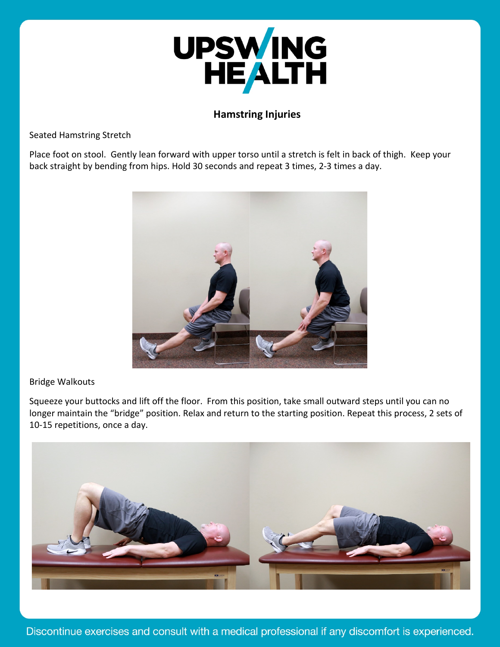

# **Hamstring Injuries**

Seated Hamstring Stretch

Place foot on stool. Gently lean forward with upper torso until a stretch is felt in back of thigh. Keep your back straight by bending from hips. Hold 30 seconds and repeat 3 times, 2-3 times a day.



## Bridge Walkouts

Squeeze your buttocks and lift off the floor. From this position, take small outward steps until you can no longer maintain the "bridge" position. Relax and return to the starting position. Repeat this process, 2 sets of 10-15 repetitions, once a day.

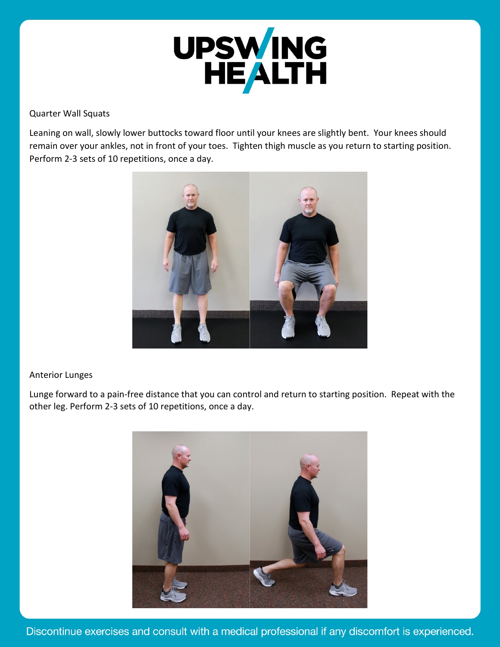

### Quarter Wall Squats

Leaning on wall, slowly lower buttocks toward floor until your knees are slightly bent. Your knees should remain over your ankles, not in front of your toes. Tighten thigh muscle as you return to starting position. Perform 2-3 sets of 10 repetitions, once a day.



## Anterior Lunges

Lunge forward to a pain-free distance that you can control and return to starting position. Repeat with the other leg. Perform 2-3 sets of 10 repetitions, once a day.



Discontinue exercises and consult with a medical professional if any discomfort is experienced.